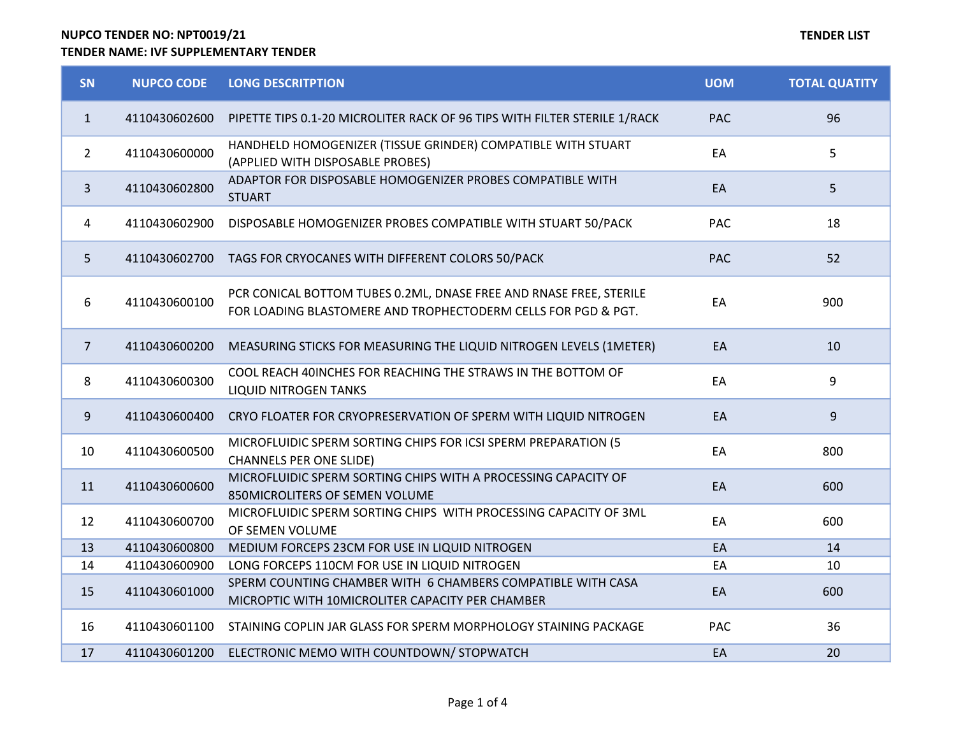# NUPCO TENDER NO: NPT0019/21

## TENDER NAME: IVF SUPPLEMENTARY TENDER

| SN             | <b>NUPCO CODE</b> | <b>LONG DESCRITPTION</b>                                                                                                            | <b>UOM</b> | <b>TOTAL QUATITY</b> |
|----------------|-------------------|-------------------------------------------------------------------------------------------------------------------------------------|------------|----------------------|
| $\mathbf{1}$   | 4110430602600     | PIPETTE TIPS 0.1-20 MICROLITER RACK OF 96 TIPS WITH FILTER STERILE 1/RACK                                                           | <b>PAC</b> | 96                   |
| $\overline{2}$ | 4110430600000     | HANDHELD HOMOGENIZER (TISSUE GRINDER) COMPATIBLE WITH STUART<br>(APPLIED WITH DISPOSABLE PROBES)                                    | EA         | 5                    |
| $\mathbf{3}$   | 4110430602800     | ADAPTOR FOR DISPOSABLE HOMOGENIZER PROBES COMPATIBLE WITH<br><b>STUART</b>                                                          | EA         | 5                    |
| 4              | 4110430602900     | DISPOSABLE HOMOGENIZER PROBES COMPATIBLE WITH STUART 50/PACK                                                                        | PAC        | 18                   |
| 5              | 4110430602700     | TAGS FOR CRYOCANES WITH DIFFERENT COLORS 50/PACK                                                                                    | <b>PAC</b> | 52                   |
| 6              | 4110430600100     | PCR CONICAL BOTTOM TUBES 0.2ML, DNASE FREE AND RNASE FREE, STERILE<br>FOR LOADING BLASTOMERE AND TROPHECTODERM CELLS FOR PGD & PGT. | EA         | 900                  |
| $\overline{7}$ | 4110430600200     | MEASURING STICKS FOR MEASURING THE LIQUID NITROGEN LEVELS (1METER)                                                                  | EA         | 10                   |
| 8              | 4110430600300     | COOL REACH 40INCHES FOR REACHING THE STRAWS IN THE BOTTOM OF<br><b>LIQUID NITROGEN TANKS</b>                                        | EA         | 9                    |
| 9              | 4110430600400     | CRYO FLOATER FOR CRYOPRESERVATION OF SPERM WITH LIQUID NITROGEN                                                                     | EA         | $\overline{9}$       |
| 10             | 4110430600500     | MICROFLUIDIC SPERM SORTING CHIPS FOR ICSI SPERM PREPARATION (5<br><b>CHANNELS PER ONE SLIDE)</b>                                    | EA         | 800                  |
| 11             | 4110430600600     | MICROFLUIDIC SPERM SORTING CHIPS WITH A PROCESSING CAPACITY OF<br>850MICROLITERS OF SEMEN VOLUME                                    | EA         | 600                  |
| 12             | 4110430600700     | MICROFLUIDIC SPERM SORTING CHIPS WITH PROCESSING CAPACITY OF 3ML<br>OF SEMEN VOLUME                                                 | EA         | 600                  |
| 13             | 4110430600800     | MEDIUM FORCEPS 23CM FOR USE IN LIQUID NITROGEN                                                                                      | EA         | 14                   |
| 14             | 4110430600900     | LONG FORCEPS 110CM FOR USE IN LIQUID NITROGEN                                                                                       | EA         | 10                   |
| 15             | 4110430601000     | SPERM COUNTING CHAMBER WITH 6 CHAMBERS COMPATIBLE WITH CASA<br>MICROPTIC WITH 10MICROLITER CAPACITY PER CHAMBER                     | EA         | 600                  |
| 16             | 4110430601100     | STAINING COPLIN JAR GLASS FOR SPERM MORPHOLOGY STAINING PACKAGE                                                                     | PAC        | 36                   |
| 17             | 4110430601200     | ELECTRONIC MEMO WITH COUNTDOWN/ STOPWATCH                                                                                           | EA         | 20                   |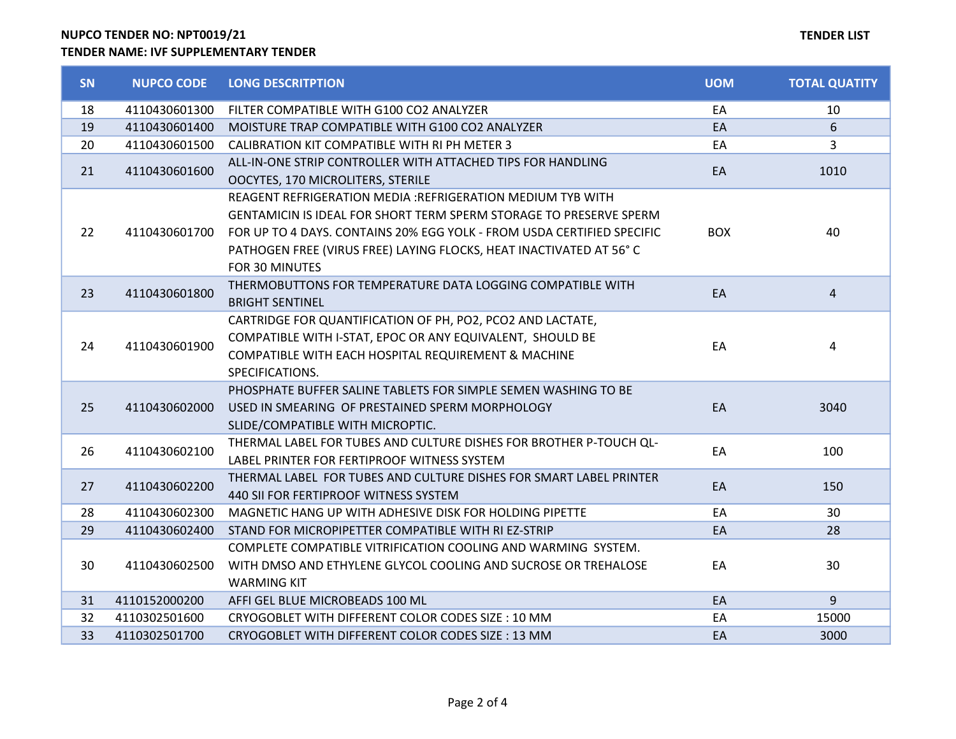NUPCO TENDER NO: NPT0019/21 TENDER NAME: IVF SUPPLEMENTARY TENDER

# TENDER LIST

| SN | <b>NUPCO CODE</b> | <b>LONG DESCRITPTION</b>                                               | <b>UOM</b> | <b>TOTAL QUATITY</b> |
|----|-------------------|------------------------------------------------------------------------|------------|----------------------|
| 18 | 4110430601300     | FILTER COMPATIBLE WITH G100 CO2 ANALYZER                               | EA         | 10                   |
| 19 | 4110430601400     | MOISTURE TRAP COMPATIBLE WITH G100 CO2 ANALYZER                        | EA         | 6                    |
| 20 | 4110430601500     | CALIBRATION KIT COMPATIBLE WITH RI PH METER 3                          | EA         | 3                    |
| 21 | 4110430601600     | ALL-IN-ONE STRIP CONTROLLER WITH ATTACHED TIPS FOR HANDLING            | EA         | 1010                 |
|    |                   | OOCYTES, 170 MICROLITERS, STERILE                                      |            |                      |
|    |                   | REAGENT REFRIGERATION MEDIA : REFRIGERATION MEDIUM TYB WITH            | <b>BOX</b> | 40                   |
|    |                   | GENTAMICIN IS IDEAL FOR SHORT TERM SPERM STORAGE TO PRESERVE SPERM     |            |                      |
| 22 | 4110430601700     | FOR UP TO 4 DAYS. CONTAINS 20% EGG YOLK - FROM USDA CERTIFIED SPECIFIC |            |                      |
|    |                   | PATHOGEN FREE (VIRUS FREE) LAYING FLOCKS, HEAT INACTIVATED AT 56°C     |            |                      |
|    |                   | FOR 30 MINUTES                                                         |            |                      |
| 23 | 4110430601800     | THERMOBUTTONS FOR TEMPERATURE DATA LOGGING COMPATIBLE WITH             | EA         | 4                    |
|    |                   | <b>BRIGHT SENTINEL</b>                                                 |            |                      |
|    | 4110430601900     | CARTRIDGE FOR QUANTIFICATION OF PH, PO2, PCO2 AND LACTATE,             |            |                      |
| 24 |                   | COMPATIBLE WITH I-STAT, EPOC OR ANY EQUIVALENT, SHOULD BE              | EA         | 4                    |
|    |                   | COMPATIBLE WITH EACH HOSPITAL REQUIREMENT & MACHINE                    |            |                      |
|    |                   | SPECIFICATIONS.                                                        |            |                      |
|    | 4110430602000     | PHOSPHATE BUFFER SALINE TABLETS FOR SIMPLE SEMEN WASHING TO BE         | EA         | 3040                 |
| 25 |                   | USED IN SMEARING OF PRESTAINED SPERM MORPHOLOGY                        |            |                      |
|    |                   | SLIDE/COMPATIBLE WITH MICROPTIC.                                       |            |                      |
| 26 | 4110430602100     | THERMAL LABEL FOR TUBES AND CULTURE DISHES FOR BROTHER P-TOUCH QL-     | EA         | 100                  |
|    |                   | LABEL PRINTER FOR FERTIPROOF WITNESS SYSTEM                            |            |                      |
| 27 | 4110430602200     | THERMAL LABEL FOR TUBES AND CULTURE DISHES FOR SMART LABEL PRINTER     | EA         | 150                  |
|    |                   | 440 SII FOR FERTIPROOF WITNESS SYSTEM                                  |            |                      |
| 28 | 4110430602300     | MAGNETIC HANG UP WITH ADHESIVE DISK FOR HOLDING PIPETTE                | EA         | 30                   |
| 29 | 4110430602400     | STAND FOR MICROPIPETTER COMPATIBLE WITH RI EZ-STRIP                    | EA         | 28                   |
| 30 | 4110430602500     | COMPLETE COMPATIBLE VITRIFICATION COOLING AND WARMING SYSTEM.          | EA         | 30                   |
|    |                   | WITH DMSO AND ETHYLENE GLYCOL COOLING AND SUCROSE OR TREHALOSE         |            |                      |
|    |                   | <b>WARMING KIT</b>                                                     |            |                      |
| 31 | 4110152000200     | AFFI GEL BLUE MICROBEADS 100 ML                                        | EA         | 9                    |
| 32 | 4110302501600     | CRYOGOBLET WITH DIFFERENT COLOR CODES SIZE: 10 MM                      | EA         | 15000                |
| 33 | 4110302501700     | CRYOGOBLET WITH DIFFERENT COLOR CODES SIZE: 13 MM                      | EA         | 3000                 |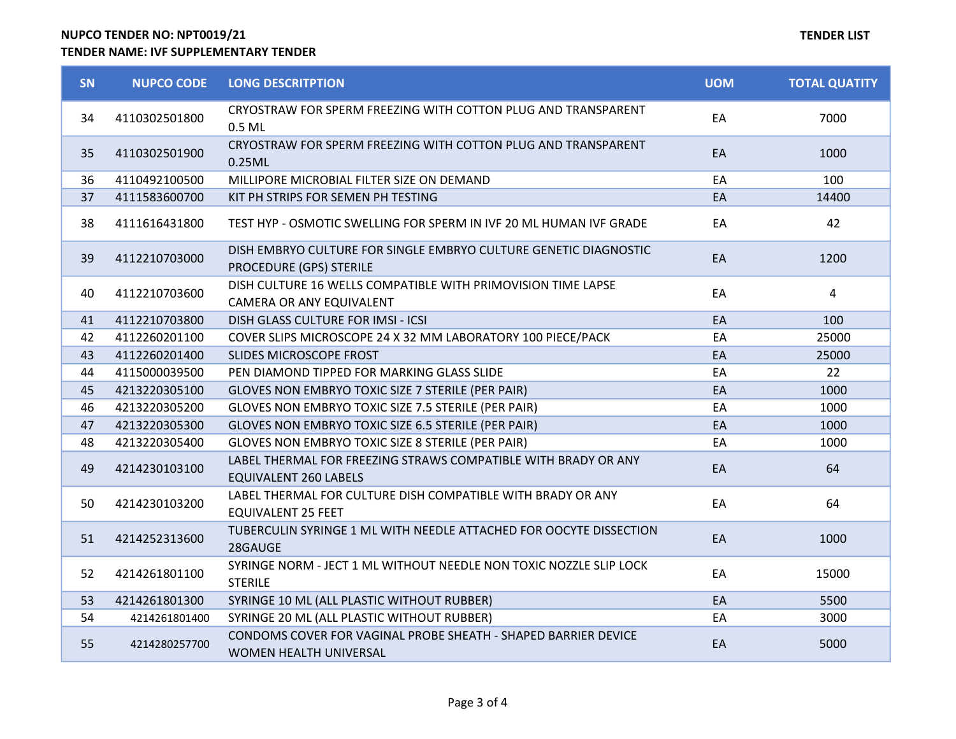## NUPCO TENDER NO: NPT0019/21 TENDER NAME: IVF SUPPLEMENTARY TENDER

| <b>SN</b> | <b>NUPCO CODE</b> | <b>LONG DESCRITPTION</b>                                                                       | <b>UOM</b> | <b>TOTAL QUATITY</b> |
|-----------|-------------------|------------------------------------------------------------------------------------------------|------------|----------------------|
| 34        | 4110302501800     | CRYOSTRAW FOR SPERM FREEZING WITH COTTON PLUG AND TRANSPARENT<br>0.5 ML                        | EA         | 7000                 |
| 35        | 4110302501900     | CRYOSTRAW FOR SPERM FREEZING WITH COTTON PLUG AND TRANSPARENT<br>0.25ML                        | EA         | 1000                 |
| 36        | 4110492100500     | MILLIPORE MICROBIAL FILTER SIZE ON DEMAND                                                      | EA         | 100                  |
| 37        | 4111583600700     | KIT PH STRIPS FOR SEMEN PH TESTING                                                             | EA         | 14400                |
| 38        | 4111616431800     | TEST HYP - OSMOTIC SWELLING FOR SPERM IN IVF 20 ML HUMAN IVF GRADE                             | EA         | 42                   |
| 39        | 4112210703000     | DISH EMBRYO CULTURE FOR SINGLE EMBRYO CULTURE GENETIC DIAGNOSTIC<br>PROCEDURE (GPS) STERILE    | EA         | 1200                 |
| 40        | 4112210703600     | DISH CULTURE 16 WELLS COMPATIBLE WITH PRIMOVISION TIME LAPSE<br>CAMERA OR ANY EQUIVALENT       | EA         | 4                    |
| 41        | 4112210703800     | DISH GLASS CULTURE FOR IMSI - ICSI                                                             | EA         | 100                  |
| 42        | 4112260201100     | COVER SLIPS MICROSCOPE 24 X 32 MM LABORATORY 100 PIECE/PACK                                    | EA         | 25000                |
| 43        | 4112260201400     | SLIDES MICROSCOPE FROST                                                                        | EA         | 25000                |
| 44        | 4115000039500     | PEN DIAMOND TIPPED FOR MARKING GLASS SLIDE                                                     | EA         | 22                   |
| 45        | 4213220305100     | GLOVES NON EMBRYO TOXIC SIZE 7 STERILE (PER PAIR)                                              | EA         | 1000                 |
| 46        | 4213220305200     | GLOVES NON EMBRYO TOXIC SIZE 7.5 STERILE (PER PAIR)                                            | EA         | 1000                 |
| 47        | 4213220305300     | GLOVES NON EMBRYO TOXIC SIZE 6.5 STERILE (PER PAIR)                                            | EA         | 1000                 |
| 48        | 4213220305400     | GLOVES NON EMBRYO TOXIC SIZE 8 STERILE (PER PAIR)                                              | EA         | 1000                 |
| 49        | 4214230103100     | LABEL THERMAL FOR FREEZING STRAWS COMPATIBLE WITH BRADY OR ANY<br><b>EQUIVALENT 260 LABELS</b> | EA         | 64                   |
| 50        | 4214230103200     | LABEL THERMAL FOR CULTURE DISH COMPATIBLE WITH BRADY OR ANY<br><b>EQUIVALENT 25 FEET</b>       | EA         | 64                   |
| 51        | 4214252313600     | TUBERCULIN SYRINGE 1 ML WITH NEEDLE ATTACHED FOR OOCYTE DISSECTION<br>28GAUGE                  | EA         | 1000                 |
| 52        | 4214261801100     | SYRINGE NORM - JECT 1 ML WITHOUT NEEDLE NON TOXIC NOZZLE SLIP LOCK<br><b>STERILE</b>           | EA         | 15000                |
| 53        | 4214261801300     | SYRINGE 10 ML (ALL PLASTIC WITHOUT RUBBER)                                                     | EA         | 5500                 |
| 54        | 4214261801400     | SYRINGE 20 ML (ALL PLASTIC WITHOUT RUBBER)                                                     | EA         | 3000                 |
| 55        | 4214280257700     | CONDOMS COVER FOR VAGINAL PROBE SHEATH - SHAPED BARRIER DEVICE<br>WOMEN HEALTH UNIVERSAL       | EA         | 5000                 |